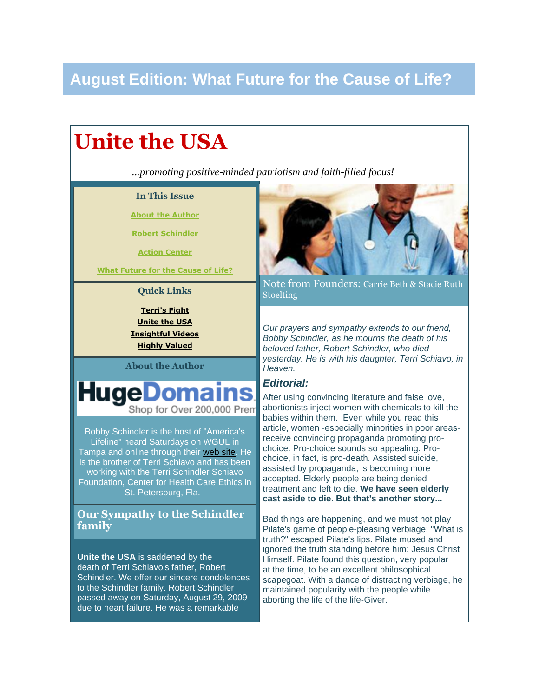# **August Edition: What Future for the Cause of Life?**

# **Unite the USA**

*...promoting positive-minded patriotism and faith-filled focus!*

### **In This Issue**

**[About the Author](http://campaign.constantcontact.com/render?v=001aqj1QInodGR3z4awnd7OhSkaH3isUe8c6OFMZ3dmNMeQ3d7IJfM0foc_LRymEtPIpfCix9BnMol7i1lzKllhwg-ayBCkJ5E30SLqqn3PzMj_rLa-KiaqeqNCvK1P_fm_KgcmF9GG2ynW_jLVHrnJk7YOxgulGdcPrODKLbEprmLIA_cRy2BwlcRjjHN74u2ylPN7Z#LETTER.BLOCK6)**

**[Robert Schindler](http://campaign.constantcontact.com/render?v=001aqj1QInodGR3z4awnd7OhSkaH3isUe8c6OFMZ3dmNMeQ3d7IJfM0foc_LRymEtPIpfCix9BnMol7i1lzKllhwg-ayBCkJ5E30SLqqn3PzMj_rLa-KiaqeqNCvK1P_fm_KgcmF9GG2ynW_jLVHrnJk7YOxgulGdcPrODKLbEprmLIA_cRy2BwlcRjjHN74u2ylPN7Z#LETTER.BLOCK16)**

**[Action Center](http://campaign.constantcontact.com/render?v=001aqj1QInodGR3z4awnd7OhSkaH3isUe8c6OFMZ3dmNMeQ3d7IJfM0foc_LRymEtPIpfCix9BnMol7i1lzKllhwg-ayBCkJ5E30SLqqn3PzMj_rLa-KiaqeqNCvK1P_fm_KgcmF9GG2ynW_jLVHrnJk7YOxgulGdcPrODKLbEprmLIA_cRy2BwlcRjjHN74u2ylPN7Z#LETTER.BLOCK17)**

**[What Future for the Cause of Life?](http://campaign.constantcontact.com/render?v=001aqj1QInodGR3z4awnd7OhSkaH3isUe8c6OFMZ3dmNMeQ3d7IJfM0foc_LRymEtPIpfCix9BnMol7i1lzKllhwg-ayBCkJ5E30SLqqn3PzMj_rLa-KiaqeqNCvK1P_fm_KgcmF9GG2ynW_jLVHrnJk7YOxgulGdcPrODKLbEprmLIA_cRy2BwlcRjjHN74u2ylPN7Z#LETTER.BLOCK10)**

## **Quick Links**

**[Terri's Fight](http://terrisfight.org/) [Unite the USA](http://www.unitetheusa.org/) [Insightful Videos](http://terrisfight.org/pages.php?page_id=52) [Highly Valued](http://www.cbn.com/spirituallife/devotions/Bohnert_valued.aspx)**

**About the Author**

# **HugeDon** Shop for Over 200,000 Prem

Bobby Schindler is the host of "America's Lifeline" heard Saturdays on WGUL in Tampa and online through their [web site.](http://terrisfight.org/) He is the brother of Terri Schiavo and has been working with the Terri Schindler Schiavo Foundation, Center for Health Care Ethics in St. Petersburg, Fla.

# **Our Sympathy to the Schindler family**

**Unite the USA** is saddened by the death of Terri Schiavo's father, Robert Schindler. We offer our sincere condolences to the Schindler family. Robert Schindler passed away on Saturday, August 29, 2009 due to heart failure. He was a remarkable



Note from Founders: Carrie Beth & Stacie Ruth Stoelting

*Our prayers and sympathy extends to our friend, Bobby Schindler, as he mourns the death of his beloved father, Robert Schindler, who died yesterday. He is with his daughter, Terri Schiavo, in Heaven.*

#### *Editorial:*

After using convincing literature and false love, abortionists inject women with chemicals to kill the babies within them. Even while you read this article, women -especially minorities in poor areasreceive convincing propaganda promoting prochoice. Pro-choice sounds so appealing: Prochoice, in fact, is pro-death. Assisted suicide, assisted by propaganda, is becoming more accepted. Elderly people are being denied treatment and left to die. **We have seen elderly cast aside to die. But that's another story...**

Bad things are happening, and we must not play Pilate's game of people-pleasing verbiage: "What is truth?" escaped Pilate's lips. Pilate mused and ignored the truth standing before him: Jesus Christ Himself. Pilate found this question, very popular at the time, to be an excellent philosophical scapegoat. With a dance of distracting verbiage, he maintained popularity with the people while aborting the life of the life-Giver.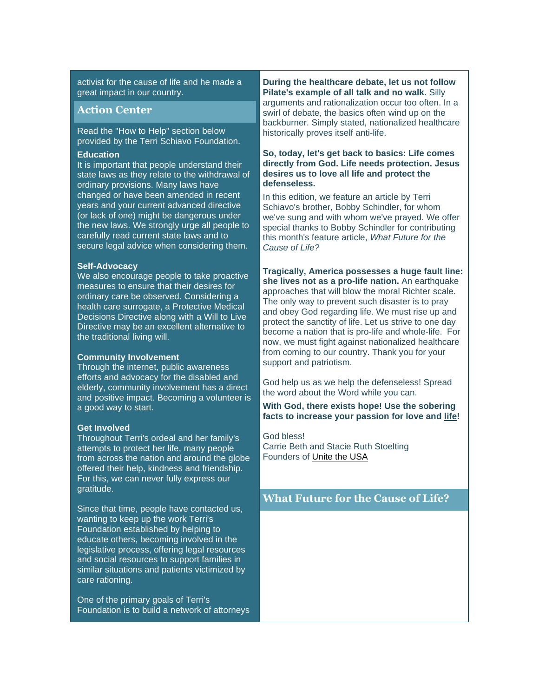activist for the cause of life and he made a great impact in our country.

## **Action Center**

Read the "How to Help" section below provided by the Terri Schiavo Foundation.

#### **Education**

It is important that people understand their state laws as they relate to the withdrawal of ordinary provisions. Many laws have changed or have been amended in recent years and your current advanced directive (or lack of one) might be dangerous under the new laws. We strongly urge all people to carefully read current state laws and to secure legal advice when considering them.

#### **Self-Advocacy**

We also encourage people to take proactive measures to ensure that their desires for ordinary care be observed. Considering a health care surrogate, a Protective Medical Decisions Directive along with a Will to Live Directive may be an excellent alternative to the traditional living will.

#### **Community Involvement**

Through the internet, public awareness efforts and advocacy for the disabled and elderly, community involvement has a direct and positive impact. Becoming a volunteer is a good way to start.

#### **Get Involved**

Throughout Terri's ordeal and her family's attempts to protect her life, many people from across the nation and around the globe offered their help, kindness and friendship. For this, we can never fully express our gratitude.

Since that time, people have contacted us, wanting to keep up the work Terri's Foundation established by helping to educate others, becoming involved in the legislative process, offering legal resources and social resources to support families in similar situations and patients victimized by care rationing.

One of the primary goals of Terri's Foundation is to build a network of attorneys **During the healthcare debate, let us not follow Pilate's example of all talk and no walk.** Silly arguments and rationalization occur too often. In a swirl of debate, the basics often wind up on the backburner. Simply stated, nationalized healthcare historically proves itself anti-life.

#### **So, today, let's get back to basics: Life comes directly from God. Life needs protection. Jesus desires us to love all life and protect the defenseless.**

In this edition, we feature an article by Terri Schiavo's brother, Bobby Schindler, for whom we've sung and with whom we've prayed. We offer special thanks to Bobby Schindler for contributing this month's feature article, *What Future for the Cause of Life?*

**Tragically, America possesses a huge fault line:**  she lives not as a pro-life nation. An earthquake approaches that will blow the moral Richter scale. The only way to prevent such disaster is to pray and obey God regarding life. We must rise up and protect the sanctity of life. Let us strive to one day become a nation that is pro-life and whole-life. For now, we must fight against nationalized healthcare from coming to our country. Thank you for your support and patriotism.

God help us as we help the defenseless! Spread the word about the Word while you can.

**With God, there exists hope! Use the sobering facts to increase your passion for love and life!**

God bless! Carrie Beth and Stacie Ruth Stoelting Founders of [Unite the USA](http://www.unitetheusa.org/)

# **What Future for the Cause of Life?**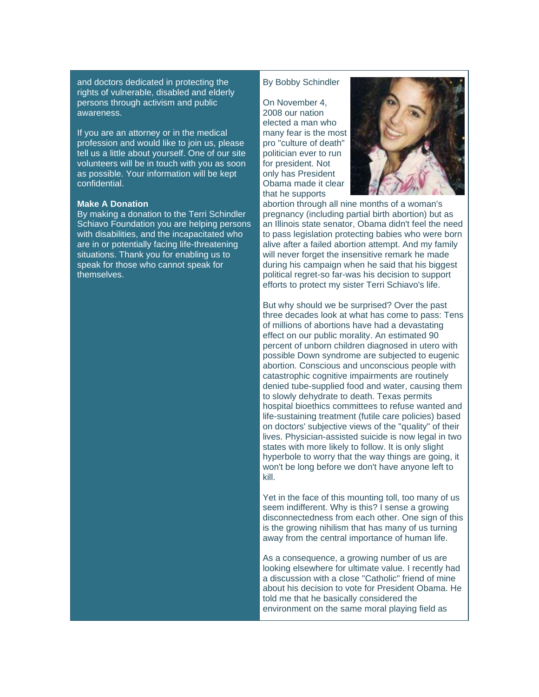and doctors dedicated in protecting the rights of vulnerable, disabled and elderly persons through activism and public awareness.

If you are an attorney or in the medical profession and would like to join us, please tell us a little about yourself. One of our site volunteers will be in touch with you as soon as possible. Your information will be kept confidential.

#### **Make A Donation**

By making a donation to the Terri Schindler Schiavo Foundation you are helping persons with disabilities, and the incapacitated who are in or potentially facing life-threatening situations. Thank you for enabling us to speak for those who cannot speak for themselves.

#### By Bobby Schindler

On November 4, 2008 our nation elected a man who many fear is the most pro "culture of death" politician ever to run for president. Not only has President Obama made it clear that he supports



abortion through all nine months of a woman's pregnancy (including partial birth abortion) but as an Illinois state senator, Obama didn't feel the need to pass legislation protecting babies who were born alive after a failed abortion attempt. And my family will never forget the insensitive remark he made during his campaign when he said that his biggest political regret-so far-was his decision to support efforts to protect my sister Terri Schiavo's life.

But why should we be surprised? Over the past three decades look at what has come to pass: Tens of millions of abortions have had a devastating effect on our public morality. An estimated 90 percent of unborn children diagnosed in utero with possible Down syndrome are subjected to eugenic abortion. Conscious and unconscious people with catastrophic cognitive impairments are routinely denied tube-supplied food and water, causing them to slowly dehydrate to death. Texas permits hospital bioethics committees to refuse wanted and life-sustaining treatment (futile care policies) based on doctors' subjective views of the "quality" of their lives. Physician-assisted suicide is now legal in two states with more likely to follow. It is only slight hyperbole to worry that the way things are going, it won't be long before we don't have anyone left to kill.

Yet in the face of this mounting toll, too many of us seem indifferent. Why is this? I sense a growing disconnectedness from each other. One sign of this is the growing nihilism that has many of us turning away from the central importance of human life.

As a consequence, a growing number of us are looking elsewhere for ultimate value. I recently had a discussion with a close "Catholic" friend of mine about his decision to vote for President Obama. He told me that he basically considered the environment on the same moral playing field as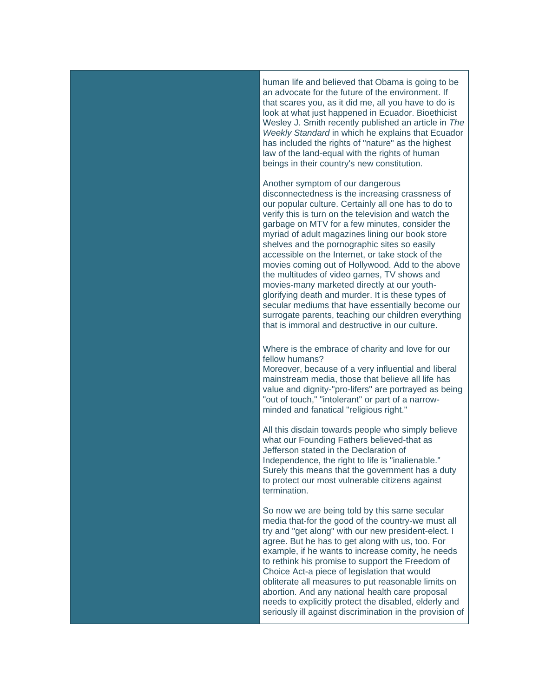human life and believed that Obama is going to be an advocate for the future of the environment. If that scares you, as it did me, all you have to do is look at what just happened in Ecuador. Bioethicist Wesley J. Smith recently published an article in *The Weekly Standard* in which he explains that Ecuador has included the rights of "nature" as the highest law of the land-equal with the rights of human beings in their country's new constitution.

#### Another symptom of our dangerous disconnectedness is the increasing crassness of our popular culture. Certainly all one has to do to verify this is turn on the television and watch the garbage on MTV for a few minutes, consider the myriad of adult magazines lining our book store shelves and the pornographic sites so easily accessible on the Internet, or take stock of the movies coming out of Hollywood. Add to the above the multitudes of video games, TV shows and movies-many marketed directly at our youthglorifying death and murder. It is these types of secular mediums that have essentially become our surrogate parents, teaching our children everything that is immoral and destructive in our culture.

Where is the embrace of charity and love for our fellow humans?

Moreover, because of a very influential and liberal mainstream media, those that believe all life has value and dignity-"pro-lifers" are portrayed as being "out of touch," "intolerant" or part of a narrowminded and fanatical "religious right."

All this disdain towards people who simply believe what our Founding Fathers believed-that as Jefferson stated in the Declaration of Independence, the right to life is "inalienable." Surely this means that the government has a duty to protect our most vulnerable citizens against termination.

So now we are being told by this same secular media that-for the good of the country-we must all try and "get along" with our new president-elect. I agree. But he has to get along with us, too. For example, if he wants to increase comity, he needs to rethink his promise to support the Freedom of Choice Act-a piece of legislation that would obliterate all measures to put reasonable limits on abortion. And any national health care proposal needs to explicitly protect the disabled, elderly and seriously ill against discrimination in the provision of